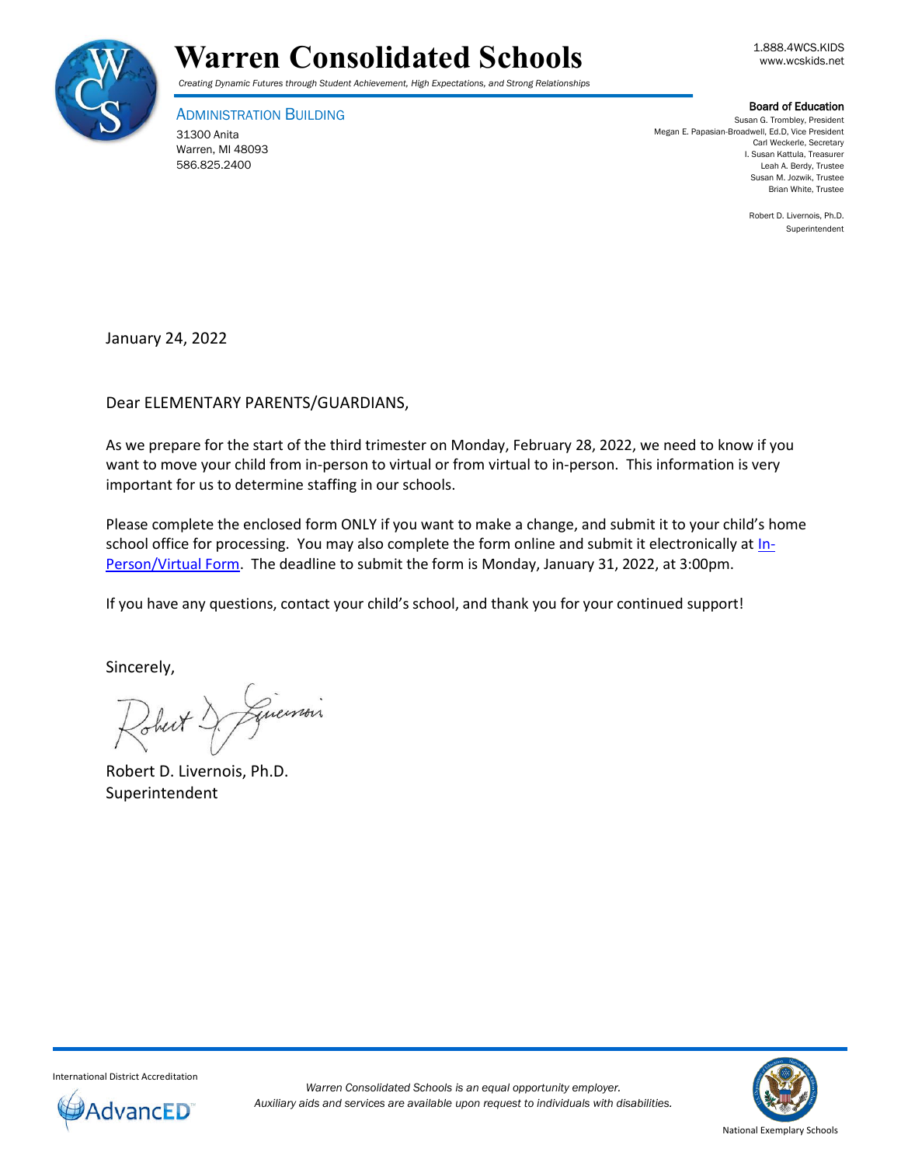

# Warren Consolidated Schools **Warren** Consolidated Schools

*Creating Dynamic Futures through Student Achievement, High Expectations, and Strong Relationships*

ADMINISTRATION BUILDING

31300 Anita Warren, MI 48093 586.825.2400

Board of Education

Susan G. Trombley, President Megan E. Papasian-Broadwell, Ed.D, Vice President Carl Weckerle, Secretary I. Susan Kattula, Treasurer Leah A. Berdy, Trustee Susan M. Jozwik, Trustee Brian White, Trustee

> Robert D. Livernois, Ph.D. Superintendent

January 24, 2022

Dear ELEMENTARY PARENTS/GUARDIANS,

As we prepare for the start of the third trimester on Monday, February 28, 2022, we need to know if you want to move your child from in-person to virtual or from virtual to in-person. This information is very important for us to determine staffing in our schools.

Please complete the enclosed form ONLY if you want to make a change, and submit it to your child's home school office for processing. You may also complete the form online and submit it electronically at  $\ln$ -Person/Virtual Form. The deadline to submit the form is Monday, January 31, 2022, at 3:00pm.

If you have any questions, contact your child's school, and thank you for your continued support!

Sincerely,

Guerrois

Robert D. Livernois, Ph.D. Superintendent



International District Accreditation

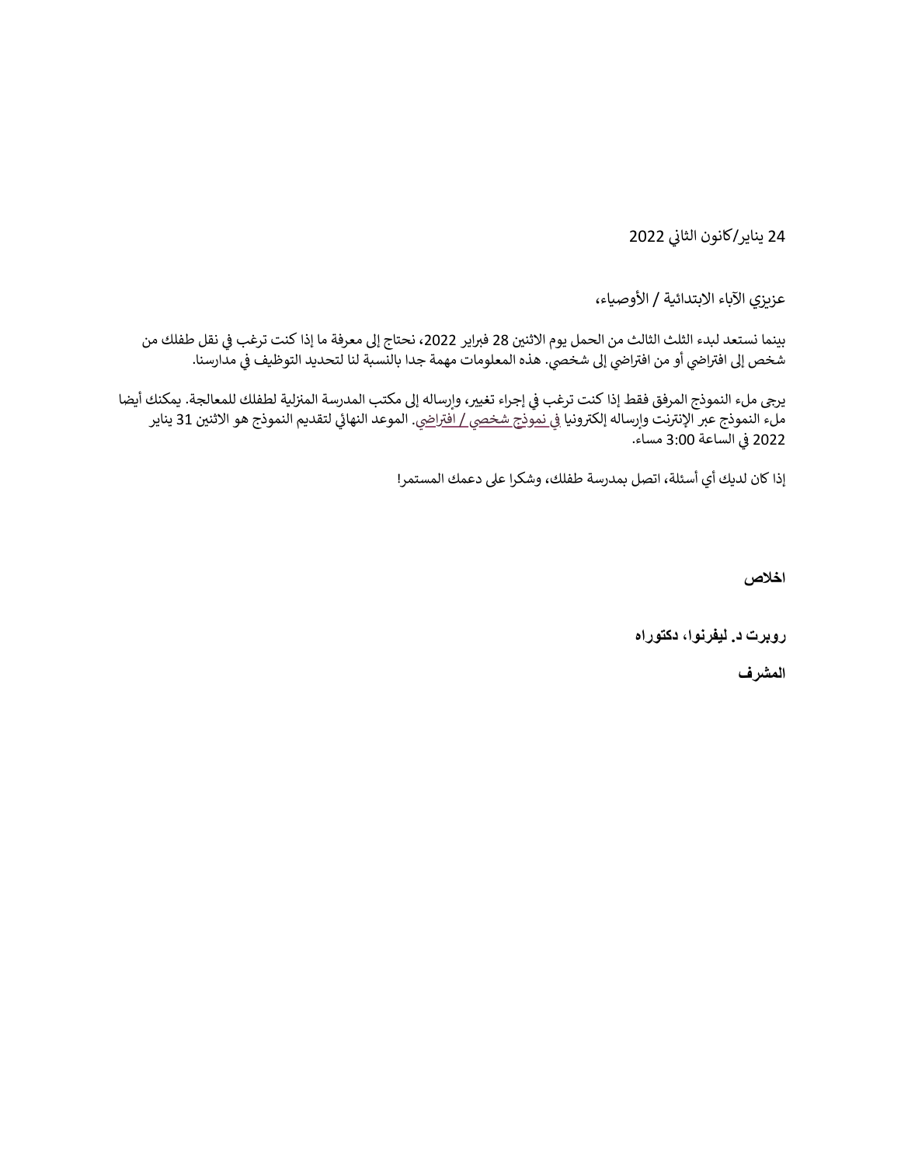24 يناير/كانون الثاني 2022

عزيزي الآباء الابتدائية / الأوصياء،

بينما نستعد لبدء الثلث الثالث من الحمل يوم الاثنين 28 فبراير 2022، نحتاج إلى معرفة ما إذا كنت ترغب في نقل طفلك من ..<br>شخص إلى افتراضي أو من افتراضي إلى شخصي. هذه المعلومات مهمة جدا بالنسبة لنا لتحديد التوظيف في مدارسنا.

يرجى ملء النموذج المرفق فقط إذا كنت ترغب في إجراء تغيير، وإرساله إلى مكتب المدرسة المنزلية لطفلك للمعالجة. يمكنك أيضا 31 يناير لتقديم النموذج هو االثن ني يئ . الموعد النها يض ا رت نموذج شخيص / اف يف ونيا نت وإرساله إلكرت رت ملء النموذج عرب اإلن الساعة 3:00 مساء. 2022 يف

إذا كان لديك أي أسئلة، اتصل بمدرسة طفلك، وشكرا عىل دعمك المستمر!

**اخالص**

**روبرت د. ليفرنوا، دكتوراه**

**المشرف**